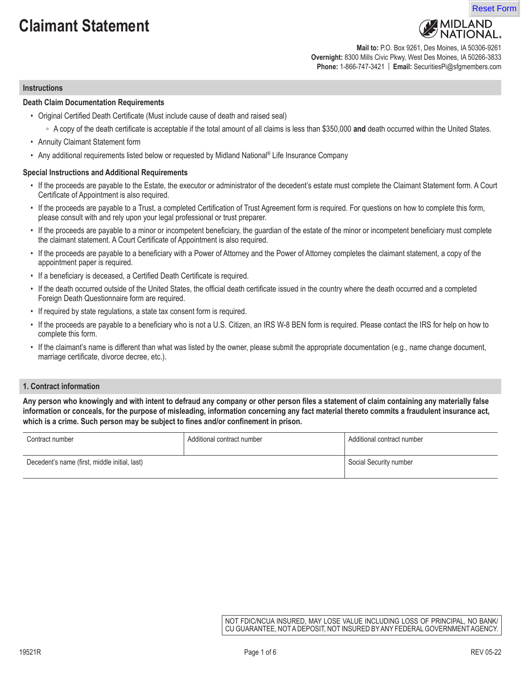# **Claimant Statement**





**Mail to:** P.O. Box 9261, Des Moines, IA 50306-9261 **Overnight:** 8300 Mills Civic Pkwy, West Des Moines, IA 50266-3833 **Phone:** 1-866-747-3421 | **Email:** SecuritiesPi@sfgmembers.com

#### **Instructions**

#### **Death Claim Documentation Requirements**

- Original Certified Death Certificate (Must include cause of death and raised seal)
	- A copy of the death certificate is acceptable if the total amount of all claims is less than \$350,000 **and** death occurred within the United States.
- Annuity Claimant Statement form
- Any additional requirements listed below or requested by Midland National<sup>®</sup> Life Insurance Company

#### **Special Instructions and Additional Requirements**

- If the proceeds are payable to the Estate, the executor or administrator of the decedent's estate must complete the Claimant Statement form. A Court Certificate of Appointment is also required.
- If the proceeds are payable to a Trust, a completed Certification of Trust Agreement form is required. For questions on how to complete this form, please consult with and rely upon your legal professional or trust preparer.
- If the proceeds are payable to a minor or incompetent beneficiary, the guardian of the estate of the minor or incompetent beneficiary must complete the claimant statement. A Court Certificate of Appointment is also required.
- If the proceeds are payable to a beneficiary with a Power of Attorney and the Power of Attorney completes the claimant statement, a copy of the appointment paper is required.
- If a beneficiary is deceased, a Certified Death Certificate is required.
- If the death occurred outside of the United States, the official death certificate issued in the country where the death occurred and a completed Foreign Death Questionnaire form are required.
- If required by state regulations, a state tax consent form is required.
- If the proceeds are payable to a beneficiary who is not a U.S. Citizen, an IRS W-8 BEN form is required. Please contact the IRS for help on how to complete this form.
- If the claimant's name is different than what was listed by the owner, please submit the appropriate documentation (e.g., name change document, marriage certificate, divorce decree, etc.).

#### **1. Contract information**

**Any person who knowingly and with intent to defraud any company or other person files a statement of claim containing any materially false information or conceals, for the purpose of misleading, information concerning any fact material thereto commits a fraudulent insurance act, which is a crime. Such person may be subject to fines and/or confinement in prison.**

| Contract number                               | Additional contract number | Additional contract number |
|-----------------------------------------------|----------------------------|----------------------------|
| Decedent's name (first, middle initial, last) |                            | Social Security number     |

NOT FDIC/NCUA INSURED, MAY LOSE VALUE INCLUDING LOSS OF PRINCIPAL, NO BANK/ CU GUARANTEE, NOT A DEPOSIT, NOT INSURED BY ANY FEDERAL GOVERNMENT AGENCY.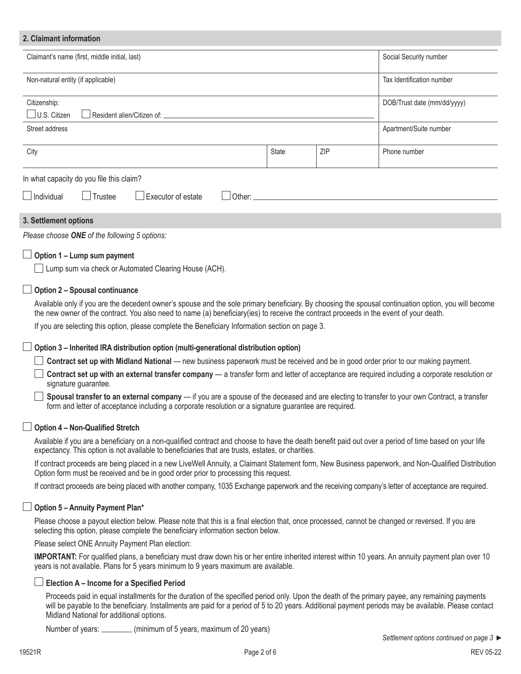## **2. Claimant information** Claimant's name (first, middle initial, last) Social Security number states and security number of states and security number Non-natural entity (if applicable) Non-natural entity (if applicable) Tax Identification number Citizenship: | U.S. Citizen | Resident alien/Citizen of: DOB/Trust date (mm/dd/yyyy) Street address **Apartment/Suite number** Apartment/Suite number City **State** ZIP Phone number **Number 2** and State **ZIP** 2 Reserve 2 and 2 and 2 and 2 and 2 and 2 and 2 and 2 and 2 and 2 and 2 and 2 and 2 and 2 and 2 and 2 and 2 and 2 and 2 and 2 and 2 and 2 and 2 and 2 and 2 and 2 and In what capacity do you file this claim?  $\Box$ Individual  $\Box$ Trustee  $\Box$ Executor of estate  $\Box$  Other: *Please choose ONE of the following 5 options:* **3. Settlement options Option 1 – Lump sum payment Lump sum via check or Automated Clearing House (ACH). Option 2 – Spousal continuance** Available only if you are the decedent owner's spouse and the sole primary beneficiary. By choosing the spousal continuation option, you will become the new owner of the contract. You also need to name (a) beneficiary(ies) to receive the contract proceeds in the event of your death. If you are selecting this option, please complete the Beneficiary Information section on page 3. **Option 3 – Inherited IRA distribution option (multi-generational distribution option)**

**Contract set up with Midland National** — new business paperwork must be received and be in good order prior to our making payment.

 **Contract set up with an external transfer company** — a transfer form and letter of acceptance are required including a corporate resolution or signature guarantee.

 **Spousal transfer to an external company** — if you are a spouse of the deceased and are electing to transfer to your own Contract, a transfer form and letter of acceptance including a corporate resolution or a signature guarantee are required.

## **Option 4 – Non-Qualified Stretch**

Available if you are a beneficiary on a non-qualified contract and choose to have the death benefit paid out over a period of time based on your life expectancy. This option is not available to beneficiaries that are trusts, estates, or charities.

If contract proceeds are being placed in a new LiveWell Annuity, a Claimant Statement form, New Business paperwork, and Non-Qualified Distribution Option form must be received and be in good order prior to processing this request.

If contract proceeds are being placed with another company, 1035 Exchange paperwork and the receiving company's letter of acceptance are required.

## **Option 5 – Annuity Payment Plan\***

Please choose a payout election below. Please note that this is a final election that, once processed, cannot be changed or reversed. If you are selecting this option, please complete the beneficiary information section below.

Please select ONE Annuity Payment Plan election:

**IMPORTANT:** For qualified plans, a beneficiary must draw down his or her entire inherited interest within 10 years. An annuity payment plan over 10 years is not available. Plans for 5 years minimum to 9 years maximum are available.

## **Election A – Income for a Specified Period**

Proceeds paid in equal installments for the duration of the specified period only. Upon the death of the primary payee, any remaining payments will be payable to the beneficiary. Installments are paid for a period of 5 to 20 years. Additional payment periods may be available. Please contact Midland National for additional options.

Number of years: (minimum of 5 years, maximum of 20 years)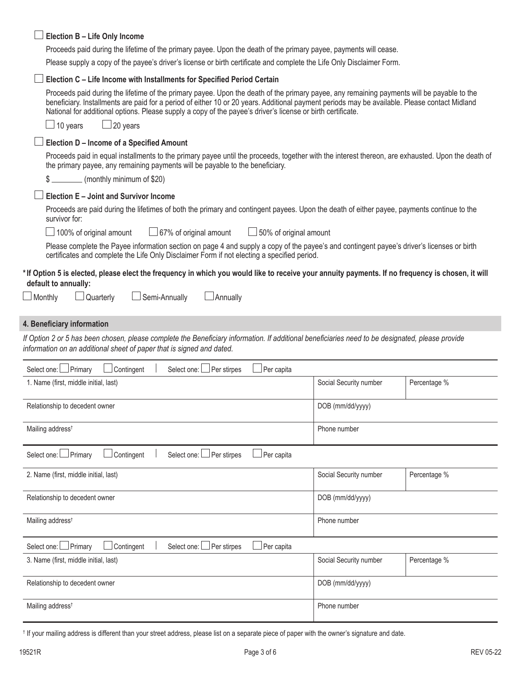| Election B - Life Only Income                                                                                                                                                                                                                                                                                                                                                                                                                    |                                                                                                                       |              |  |  |
|--------------------------------------------------------------------------------------------------------------------------------------------------------------------------------------------------------------------------------------------------------------------------------------------------------------------------------------------------------------------------------------------------------------------------------------------------|-----------------------------------------------------------------------------------------------------------------------|--------------|--|--|
| Proceeds paid during the lifetime of the primary payee. Upon the death of the primary payee, payments will cease.                                                                                                                                                                                                                                                                                                                                |                                                                                                                       |              |  |  |
|                                                                                                                                                                                                                                                                                                                                                                                                                                                  | Please supply a copy of the payee's driver's license or birth certificate and complete the Life Only Disclaimer Form. |              |  |  |
| Election C - Life Income with Installments for Specified Period Certain                                                                                                                                                                                                                                                                                                                                                                          |                                                                                                                       |              |  |  |
| Proceeds paid during the lifetime of the primary payee. Upon the death of the primary payee, any remaining payments will be payable to the<br>beneficiary. Installments are paid for a period of either 10 or 20 years. Additional payment periods may be available. Please contact Midland<br>National for additional options. Please supply a copy of the payee's driver's license or birth certificate.<br>$\Box$ 20 years<br>$\Box$ 10 years |                                                                                                                       |              |  |  |
| Election D - Income of a Specified Amount                                                                                                                                                                                                                                                                                                                                                                                                        |                                                                                                                       |              |  |  |
| Proceeds paid in equal installments to the primary payee until the proceeds, together with the interest thereon, are exhausted. Upon the death of<br>the primary payee, any remaining payments will be payable to the beneficiary.                                                                                                                                                                                                               |                                                                                                                       |              |  |  |
| (monthly minimum of \$20)<br>\$.                                                                                                                                                                                                                                                                                                                                                                                                                 |                                                                                                                       |              |  |  |
| Election E - Joint and Survivor Income                                                                                                                                                                                                                                                                                                                                                                                                           |                                                                                                                       |              |  |  |
| Proceeds are paid during the lifetimes of both the primary and contingent payees. Upon the death of either payee, payments continue to the<br>survivor for:                                                                                                                                                                                                                                                                                      |                                                                                                                       |              |  |  |
| $\Box$ 100% of original amount<br>$\Box$ 67% of original amount<br>$\Box$ 50% of original amount                                                                                                                                                                                                                                                                                                                                                 |                                                                                                                       |              |  |  |
| Please complete the Payee information section on page 4 and supply a copy of the payee's and contingent payee's driver's licenses or birth<br>certificates and complete the Life Only Disclaimer Form if not electing a specified period.                                                                                                                                                                                                        |                                                                                                                       |              |  |  |
| *If Option 5 is elected, please elect the frequency in which you would like to receive your annuity payments. If no frequency is chosen, it will<br>default to annually:<br>Semi-Annually<br>$\Box$ Monthly<br>$\Box$ Quarterly<br>$\Box$ Annually                                                                                                                                                                                               |                                                                                                                       |              |  |  |
| 4. Beneficiary information                                                                                                                                                                                                                                                                                                                                                                                                                       |                                                                                                                       |              |  |  |
| If Option 2 or 5 has been chosen, please complete the Beneficiary information. If additional beneficiaries need to be designated, please provide<br>information on an additional sheet of paper that is signed and dated.                                                                                                                                                                                                                        |                                                                                                                       |              |  |  |
| Select one: <u>□</u> Primary<br>Contingent<br>Per stirpes<br>Per capita<br>Select one:                                                                                                                                                                                                                                                                                                                                                           |                                                                                                                       |              |  |  |
| 1. Name (first, middle initial, last)                                                                                                                                                                                                                                                                                                                                                                                                            | Social Security number                                                                                                | Percentage % |  |  |
| DOB (mm/dd/yyyy)<br>Relationship to decedent owner                                                                                                                                                                                                                                                                                                                                                                                               |                                                                                                                       |              |  |  |
| Mailing address <sup>t</sup><br>Phone number                                                                                                                                                                                                                                                                                                                                                                                                     |                                                                                                                       |              |  |  |
| Select one: DPrimary<br>Contingent<br>Select one: Per stirpes<br>Per capita                                                                                                                                                                                                                                                                                                                                                                      |                                                                                                                       |              |  |  |
| 2. Name (first, middle initial, last)                                                                                                                                                                                                                                                                                                                                                                                                            | Social Security number                                                                                                | Percentage % |  |  |
| Relationship to decedent owner<br>DOB (mm/dd/yyyy)                                                                                                                                                                                                                                                                                                                                                                                               |                                                                                                                       |              |  |  |
| Mailing address <sup>t</sup>                                                                                                                                                                                                                                                                                                                                                                                                                     | Phone number                                                                                                          |              |  |  |
| $\Box$ Primary<br>Select one: Per stirpes<br>Contingent<br>Per capita<br>Select one: I                                                                                                                                                                                                                                                                                                                                                           |                                                                                                                       |              |  |  |
| 3. Name (first, middle initial, last)                                                                                                                                                                                                                                                                                                                                                                                                            | Social Security number                                                                                                | Percentage % |  |  |
| Relationship to decedent owner                                                                                                                                                                                                                                                                                                                                                                                                                   | DOB (mm/dd/yyyy)                                                                                                      |              |  |  |
|                                                                                                                                                                                                                                                                                                                                                                                                                                                  |                                                                                                                       |              |  |  |

† If your mailing address is different than your street address, please list on a separate piece of paper with the owner's signature and date.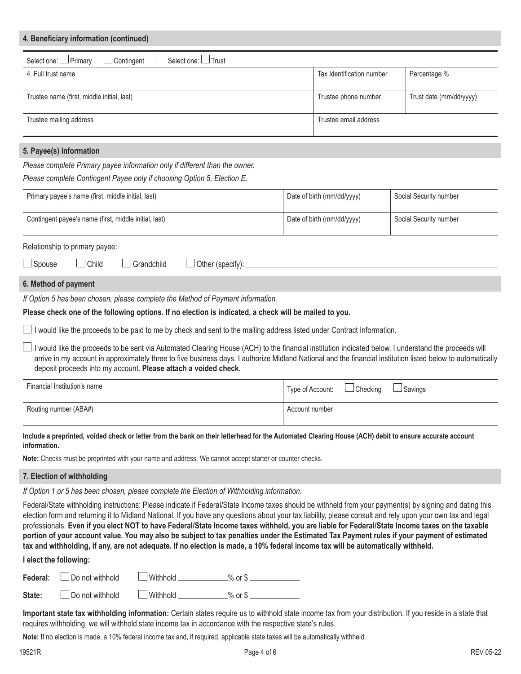| 4. Beneficiary information (continued)                                      |                           |                         |
|-----------------------------------------------------------------------------|---------------------------|-------------------------|
| Select one: I Trust<br>Select one: I Primary<br>Contingent                  |                           |                         |
| 4. Full trust name                                                          | Tax Identification number | Percentage %            |
| Trustee name (first, middle initial, last)                                  | Trustee phone number      | Trust date (mm/dd/yyyy) |
| Trustee mailing address                                                     | Trustee email address     |                         |
| 5. Payee(s) information                                                     |                           |                         |
| Please complete Primary payee information only if different than the owner. |                           |                         |
| Please complete Contingent Payee only if choosing Option 5, Election E.     |                           |                         |

| $\iota$ rease complete Contingent rayee only if choosing Option of Liection L. |                            |                        |  |
|--------------------------------------------------------------------------------|----------------------------|------------------------|--|
| Primary payee's name (first, middle initial, last)                             | Date of birth (mm/dd/yyyy) | Social Security number |  |
| Contingent payee's name (first, middle initial, last)                          | Date of birth (mm/dd/yyyy) | Social Security number |  |

#### Relationship to primary payee:

□Spouse □ Child □ Grandchild □ Other (specify): □

#### **6. Method of payment**

*If Option 5 has been chosen, please complete the Method of Payment information.* 

#### **Please check one of the following options. If no election is indicated, a check will be mailed to you.**

I would like the proceeds to be paid to me by check and sent to the mailing address listed under Contract Information.

I would like the proceeds to be sent via Automated Clearing House (ACH) to the financial institution indicated below. I understand the proceeds will arrive in my account in approximately three to five business days. I authorize Midland National and the financial institution listed below to automatically deposit proceeds into my account. **Please attach a voided check.** 

| Financial Institution's name | Type of Account: □ Checking<br>$\Box$ Savings |
|------------------------------|-----------------------------------------------|
| Routing number (ABA#)        | Account number                                |

#### **Include a preprinted, voided check or letter from the bank on their letterhead for the Automated Clearing House (ACH) debit to ensure accurate account information.**

**Note:** Checks must be preprinted with your name and address. We cannot accept starter or counter checks.

#### **7. Election of withholding**

*If Option 1 or 5 has been chosen, please complete the Election of Withholding information.* 

Federal/State withholding instructions: Please indicate if Federal/State Income taxes should be withheld from your payment(s) by signing and dating this election form and returning it to Midland National. If you have any questions about your tax liability, please consult and rely upon your own tax and legal professionals. **Even if you elect NOT to have Federal/State Income taxes withheld, you are liable for Federal/State Income taxes on the taxable portion of your account value. You may also be subject to tax penalties under the Estimated Tax Payment rules if your payment of estimated tax and withholding, if any, are not adequate. If no election is made, a 10% federal income tax will be automatically withheld.**

#### **I elect the following:**

|  | Federal: $\Box$ Do not withhold | $\Box$ Withhold $\Box$ | $%$ or $$$ |  |
|--|---------------------------------|------------------------|------------|--|
|--|---------------------------------|------------------------|------------|--|

State:  $\Box$  Do not withhold  $\Box$  Withhold  $\Box$  % or \$

**Important state tax withholding information:** Certain states require us to withhold state income tax from your distribution. If you reside in a state that requires withholding, we will withhold state income tax in accordance with the respective state's rules.

**Note:** If no election is made, a 10% federal income tax and, if required, applicable state taxes will be automatically withheld.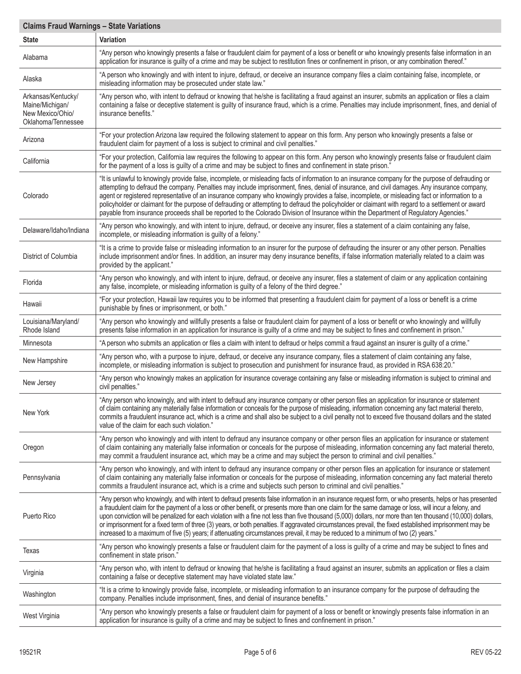| <b>Claims Fraud Warnings - State Variations</b>                                 |                                                                                                                                                                                                                                                                                                                                                                                                                                                                                                                                                                                                                                                                                                                                                                             |  |  |
|---------------------------------------------------------------------------------|-----------------------------------------------------------------------------------------------------------------------------------------------------------------------------------------------------------------------------------------------------------------------------------------------------------------------------------------------------------------------------------------------------------------------------------------------------------------------------------------------------------------------------------------------------------------------------------------------------------------------------------------------------------------------------------------------------------------------------------------------------------------------------|--|--|
| <b>State</b>                                                                    | <b>Variation</b>                                                                                                                                                                                                                                                                                                                                                                                                                                                                                                                                                                                                                                                                                                                                                            |  |  |
| Alabama                                                                         | "Any person who knowingly presents a false or fraudulent claim for payment of a loss or benefit or who knowingly presents false information in an<br>application for insurance is guilty of a crime and may be subject to restitution fines or confinement in prison, or any combination thereof."                                                                                                                                                                                                                                                                                                                                                                                                                                                                          |  |  |
| Alaska                                                                          | "A person who knowingly and with intent to injure, defraud, or deceive an insurance company files a claim containing false, incomplete, or<br>misleading information may be prosecuted under state law."                                                                                                                                                                                                                                                                                                                                                                                                                                                                                                                                                                    |  |  |
| Arkansas/Kentucky/<br>Maine/Michigan/<br>New Mexico/Ohio/<br>Oklahoma/Tennessee | "Any person who, with intent to defraud or knowing that he/she is facilitating a fraud against an insurer, submits an application or files a claim<br>containing a false or deceptive statement is guilty of insurance fraud, which is a crime. Penalties may include imprisonment, fines, and denial of<br>insurance benefits."                                                                                                                                                                                                                                                                                                                                                                                                                                            |  |  |
| Arizona                                                                         | "For your protection Arizona law required the following statement to appear on this form. Any person who knowingly presents a false or<br>fraudulent claim for payment of a loss is subject to criminal and civil penalties."                                                                                                                                                                                                                                                                                                                                                                                                                                                                                                                                               |  |  |
| California                                                                      | "For your protection, California law requires the following to appear on this form. Any person who knowingly presents false or fraudulent claim<br>for the payment of a loss is guilty of a crime and may be subject to fines and confinement in state prison."                                                                                                                                                                                                                                                                                                                                                                                                                                                                                                             |  |  |
| Colorado                                                                        | "It is unlawful to knowingly provide false, incomplete, or misleading facts of information to an insurance company for the purpose of defrauding or<br>attempting to defraud the company. Penalties may include imprisonment, fines, denial of insurance, and civil damages. Any insurance company,<br>agent or registered representative of an insurance company who knowingly provides a false, incomplete, or misleading fact or information to a<br>policyholder or claimant for the purpose of defrauding or attempting to defraud the policyholder or claimant with regard to a settlement or award<br>payable from insurance proceeds shall be reported to the Colorado Division of Insurance within the Department of Regulatory Agencies."                         |  |  |
| Delaware/Idaho/Indiana                                                          | "Any person who knowingly, and with intent to injure, defraud, or deceive any insurer, files a statement of a claim containing any false,<br>incomplete, or misleading information is guilty of a felony."                                                                                                                                                                                                                                                                                                                                                                                                                                                                                                                                                                  |  |  |
| District of Columbia                                                            | "It is a crime to provide false or misleading information to an insurer for the purpose of defrauding the insurer or any other person. Penalties<br>include imprisonment and/or fines. In addition, an insurer may deny insurance benefits, if false information materially related to a claim was<br>provided by the applicant."                                                                                                                                                                                                                                                                                                                                                                                                                                           |  |  |
| Florida                                                                         | "Any person who knowingly, and with intent to injure, defraud, or deceive any insurer, files a statement of claim or any application containing<br>any false, incomplete, or misleading information is guilty of a felony of the third degree."                                                                                                                                                                                                                                                                                                                                                                                                                                                                                                                             |  |  |
| Hawaii                                                                          | "For your protection, Hawaii law requires you to be informed that presenting a fraudulent claim for payment of a loss or benefit is a crime<br>punishable by fines or imprisonment, or both."                                                                                                                                                                                                                                                                                                                                                                                                                                                                                                                                                                               |  |  |
| Louisiana/Maryland/<br>Rhode Island                                             | "Any person who knowingly and willfully presents a false or fraudulent claim for payment of a loss or benefit or who knowingly and willfully<br>presents false information in an application for insurance is guilty of a crime and may be subject to fines and confinement in prison."                                                                                                                                                                                                                                                                                                                                                                                                                                                                                     |  |  |
| Minnesota                                                                       | "A person who submits an application or files a claim with intent to defraud or helps commit a fraud against an insurer is guilty of a crime."                                                                                                                                                                                                                                                                                                                                                                                                                                                                                                                                                                                                                              |  |  |
| New Hampshire                                                                   | "Any person who, with a purpose to injure, defraud, or deceive any insurance company, files a statement of claim containing any false,<br>incomplete, or misleading information is subject to prosecution and punishment for insurance fraud, as provided in RSA 638:20."                                                                                                                                                                                                                                                                                                                                                                                                                                                                                                   |  |  |
| New Jersey                                                                      | "Any person who knowingly makes an application for insurance coverage containing any false or misleading information is subject to criminal and<br>civil penalties."                                                                                                                                                                                                                                                                                                                                                                                                                                                                                                                                                                                                        |  |  |
| New York                                                                        | "Any person who knowingly, and with intent to defraud any insurance company or other person files an application for insurance or statement<br>of claim containing any materially false information or conceals for the purpose of misleading, information concerning any fact material thereto,<br>commits a fraudulent insurance act, which is a crime and shall also be subject to a civil penalty not to exceed five thousand dollars and the stated<br>value of the claim for each such violation."                                                                                                                                                                                                                                                                    |  |  |
| Oregon                                                                          | "Any person who knowingly and with intent to defraud any insurance company or other person files an application for insurance or statement<br>of claim containing any materially false information or conceals for the purpose of misleading, information concerning any fact material thereto,<br>may commit a fraudulent insurance act, which may be a crime and may subject the person to criminal and civil penalties."                                                                                                                                                                                                                                                                                                                                                 |  |  |
| Pennsylvania                                                                    | "Any person who knowingly, and with intent to defraud any insurance company or other person files an application for insurance or statement<br>of claim containing any materially false information or conceals for the purpose of misleading, information concerning any fact material thereto<br>commits a fraudulent insurance act, which is a crime and subjects such person to criminal and civil penalties."                                                                                                                                                                                                                                                                                                                                                          |  |  |
| Puerto Rico                                                                     | "Any person who knowingly, and with intent to defraud presents false information in an insurance request form, or who presents, helps or has presented<br>a fraudulent claim for the payment of a loss or other benefit, or presents more than one claim for the same damage or loss, will incur a felony, and<br>upon conviction will be penalized for each violation with a fine not less than five thousand (5,000) dollars, nor more than ten thousand (10,000) dollars,<br>or imprisonment for a fixed term of three (3) years, or both penalties. If aggravated circumstances prevail, the fixed established imprisonment may be<br>increased to a maximum of five (5) years; if attenuating circumstances prevail, it may be reduced to a minimum of two (2) years." |  |  |
| Texas                                                                           | "Any person who knowingly presents a false or fraudulent claim for the payment of a loss is guilty of a crime and may be subject to fines and<br>confinement in state prison."                                                                                                                                                                                                                                                                                                                                                                                                                                                                                                                                                                                              |  |  |
| Virginia                                                                        | "Any person who, with intent to defraud or knowing that he/she is facilitating a fraud against an insurer, submits an application or files a claim<br>containing a false or deceptive statement may have violated state law."                                                                                                                                                                                                                                                                                                                                                                                                                                                                                                                                               |  |  |
| Washington                                                                      | "It is a crime to knowingly provide false, incomplete, or misleading information to an insurance company for the purpose of defrauding the<br>company. Penalties include imprisonment, fines, and denial of insurance benefits."                                                                                                                                                                                                                                                                                                                                                                                                                                                                                                                                            |  |  |
| West Virginia                                                                   | "Any person who knowingly presents a false or fraudulent claim for payment of a loss or benefit or knowingly presents false information in an<br>application for insurance is guilty of a crime and may be subject to fines and confinement in prison."                                                                                                                                                                                                                                                                                                                                                                                                                                                                                                                     |  |  |